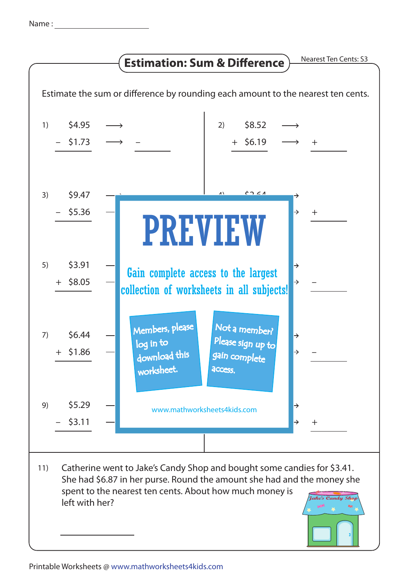